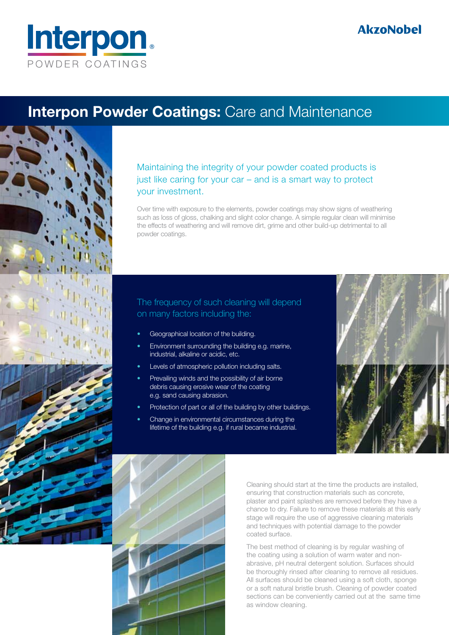

## **Interpon Powder Coatings: Care and Maintenance**



Maintaining the integrity of your powder coated products is just like caring for your car – and is a smart way to protect your investment.

Over time with exposure to the elements, powder coatings may show signs of weathering such as loss of gloss, chalking and slight color change. A simple regular clean will minimise the effects of weathering and will remove dirt, grime and other build-up detrimental to all powder coatings.

## The frequency of such cleaning will depend on many factors including the:

- Geographical location of the building.
- Environment surrounding the building e.g. marine, industrial, alkaline or acidic, etc.
- Levels of atmospheric pollution including salts.
- Prevailing winds and the possibility of air borne debris causing erosive wear of the coating e.g. sand causing abrasion.
- Protection of part or all of the building by other buildings.
- Change in environmental circumstances during the lifetime of the building e.g. if rural became industrial.





Cleaning should start at the time the products are installed, ensuring that construction materials such as concrete, plaster and paint splashes are removed before they have a chance to dry. Failure to remove these materials at this early stage will require the use of aggressive cleaning materials and techniques with potential damage to the powder coated surface.

The best method of cleaning is by regular washing of the coating using a solution of warm water and nonabrasive, pH neutral detergent solution. Surfaces should be thoroughly rinsed after cleaning to remove all residues. All surfaces should be cleaned using a soft cloth, sponge or a soft natural bristle brush. Cleaning of powder coated sections can be conveniently carried out at the same time as window cleaning.